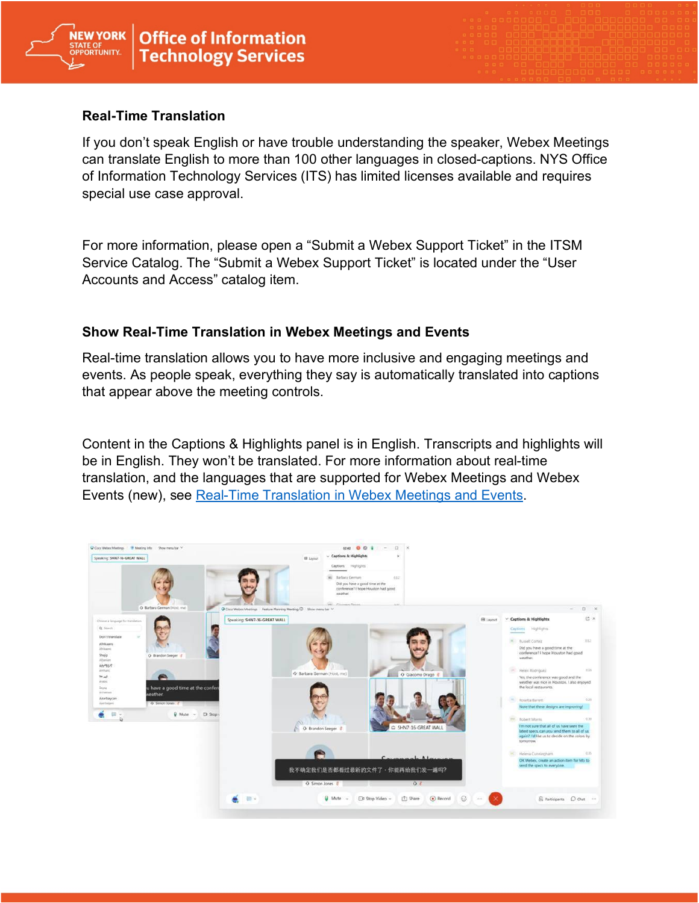

## **Real-Time Translation**

If you don't speak English or have trouble understanding the speaker, Webex Meetings can translate English to more than 100 other languages in closed-captions. NYS Office of Information Technology Services (ITS) has limited licenses available and requires special use case approval.

For more information, please open a "Submit a Webex Support Ticket" in the ITSM Service Catalog. The "Submit a Webex Support Ticket" is located under the "User Accounts and Access" catalog item.

## **Show Real-Time Translation in Webex Meetings and Events**

Real-time translation allows you to have more inclusive and engaging meetings and events. As people speak, everything they say is automatically translated into captions that appear above the meeting controls.

Content in the Captions & Highlights panel is in English. Transcripts and highlights will be in English. They won't be translated. For more information about real-time translation, and the languages that are supported for Webex Meetings and Webex Events (new), see [Real-Time Translation in Webex Meetings and Events.](https://help.webex.com/en-us/article/nqzpeei/Show-real-time-translation-and-transcription-in-Meetings-and-Webinars)